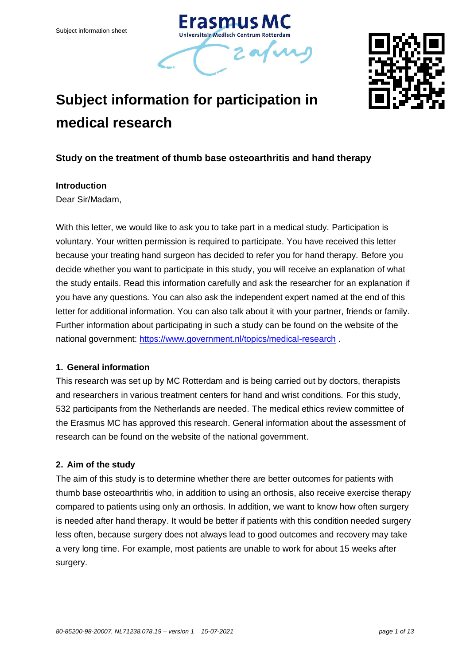



# **Subject information for participation in medical research**

# **Study on the treatment of thumb base osteoarthritis and hand therapy**

#### **Introduction**

Dear Sir/Madam,

With this letter, we would like to ask you to take part in a medical study. Participation is voluntary. Your written permission is required to participate. You have received this letter because your treating hand surgeon has decided to refer you for hand therapy. Before you decide whether you want to participate in this study, you will receive an explanation of what the study entails. Read this information carefully and ask the researcher for an explanation if you have any questions. You can also ask the independent expert named at the end of this letter for additional information. You can also talk about it with your partner, friends or family. Further information about participating in such a study can be found on the website of the national government:<https://www.government.nl/topics/medical-research> .

# **1. General information**

This research was set up by MC Rotterdam and is being carried out by doctors, therapists and researchers in various treatment centers for hand and wrist conditions. For this study, 532 participants from the Netherlands are needed. The medical ethics review committee of the Erasmus MC has approved this research. General information about the assessment of research can be found on the website of the national government.

#### **2. Aim of the study**

The aim of this study is to determine whether there are better outcomes for patients with thumb base osteoarthritis who, in addition to using an orthosis, also receive exercise therapy compared to patients using only an orthosis. In addition, we want to know how often surgery is needed after hand therapy. It would be better if patients with this condition needed surgery less often, because surgery does not always lead to good outcomes and recovery may take a very long time. For example, most patients are unable to work for about 15 weeks after surgery.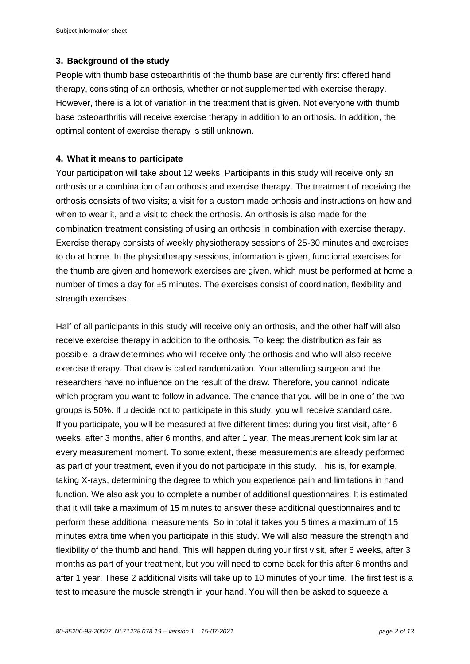#### **3. Background of the study**

People with thumb base osteoarthritis of the thumb base are currently first offered hand therapy, consisting of an orthosis, whether or not supplemented with exercise therapy. However, there is a lot of variation in the treatment that is given. Not everyone with thumb base osteoarthritis will receive exercise therapy in addition to an orthosis. In addition, the optimal content of exercise therapy is still unknown.

#### **4. What it means to participate**

Your participation will take about 12 weeks. Participants in this study will receive only an orthosis or a combination of an orthosis and exercise therapy. The treatment of receiving the orthosis consists of two visits; a visit for a custom made orthosis and instructions on how and when to wear it, and a visit to check the orthosis. An orthosis is also made for the combination treatment consisting of using an orthosis in combination with exercise therapy. Exercise therapy consists of weekly physiotherapy sessions of 25-30 minutes and exercises to do at home. In the physiotherapy sessions, information is given, functional exercises for the thumb are given and homework exercises are given, which must be performed at home a number of times a day for ±5 minutes. The exercises consist of coordination, flexibility and strength exercises.

Half of all participants in this study will receive only an orthosis, and the other half will also receive exercise therapy in addition to the orthosis. To keep the distribution as fair as possible, a draw determines who will receive only the orthosis and who will also receive exercise therapy. That draw is called randomization. Your attending surgeon and the researchers have no influence on the result of the draw. Therefore, you cannot indicate which program you want to follow in advance. The chance that you will be in one of the two groups is 50%. If u decide not to participate in this study, you will receive standard care. If you participate, you will be measured at five different times: during you first visit, after 6 weeks, after 3 months, after 6 months, and after 1 year. The measurement look similar at every measurement moment. To some extent, these measurements are already performed as part of your treatment, even if you do not participate in this study. This is, for example, taking X-rays, determining the degree to which you experience pain and limitations in hand function. We also ask you to complete a number of additional questionnaires. It is estimated that it will take a maximum of 15 minutes to answer these additional questionnaires and to perform these additional measurements. So in total it takes you 5 times a maximum of 15 minutes extra time when you participate in this study. We will also measure the strength and flexibility of the thumb and hand. This will happen during your first visit, after 6 weeks, after 3 months as part of your treatment, but you will need to come back for this after 6 months and after 1 year. These 2 additional visits will take up to 10 minutes of your time. The first test is a test to measure the muscle strength in your hand. You will then be asked to squeeze a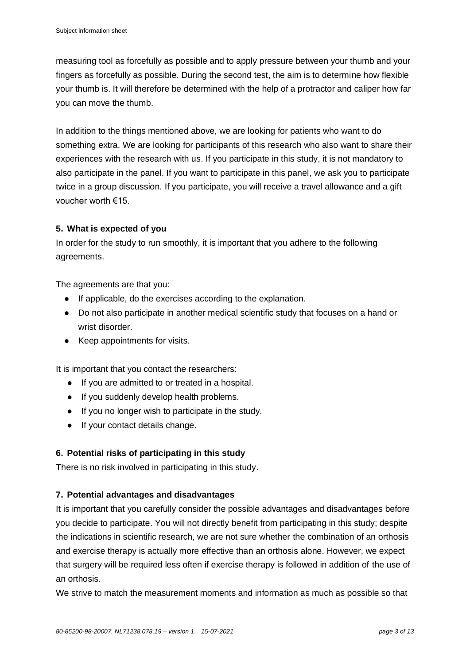measuring tool as forcefully as possible and to apply pressure between your thumb and your fingers as forcefully as possible. During the second test, the aim is to determine how flexible your thumb is. It will therefore be determined with the help of a protractor and caliper how far you can move the thumb.

In addition to the things mentioned above, we are looking for patients who want to do something extra. We are looking for participants of this research who also want to share their experiences with the research with us. If you participate in this study, it is not mandatory to also participate in the panel. If you want to participate in this panel, we ask you to participate twice in a group discussion. If you participate, you will receive a travel allowance and a gift voucher worth €15.

## **5. What is expected of you**

In order for the study to run smoothly, it is important that you adhere to the following agreements.

The agreements are that you:

- If applicable, do the exercises according to the explanation.
- Do not also participate in another medical scientific study that focuses on a hand or wrist disorder.
- Keep appointments for visits.

It is important that you contact the researchers:

- If you are admitted to or treated in a hospital.
- If you suddenly develop health problems.
- If you no longer wish to participate in the study.
- If your contact details change.

# **6. Potential risks of participating in this study**

There is no risk involved in participating in this study.

# **7. Potential advantages and disadvantages**

It is important that you carefully consider the possible advantages and disadvantages before you decide to participate. You will not directly benefit from participating in this study; despite the indications in scientific research, we are not sure whether the combination of an orthosis and exercise therapy is actually more effective than an orthosis alone. However, we expect that surgery will be required less often if exercise therapy is followed in addition of the use of an orthosis.

We strive to match the measurement moments and information as much as possible so that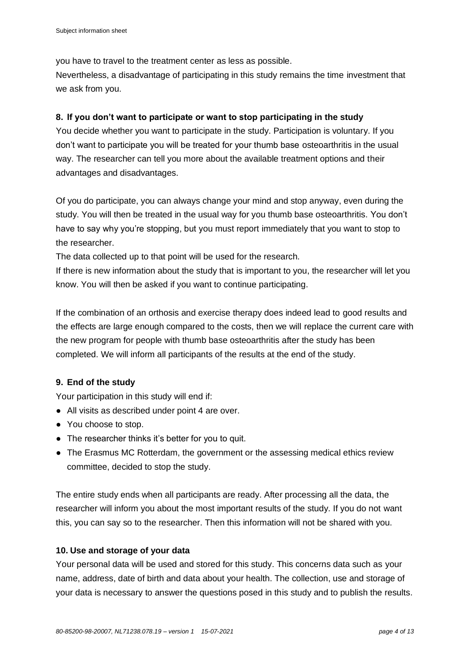you have to travel to the treatment center as less as possible.

Nevertheless, a disadvantage of participating in this study remains the time investment that we ask from you.

# **8. If you don't want to participate or want to stop participating in the study**

You decide whether you want to participate in the study. Participation is voluntary. If you don't want to participate you will be treated for your thumb base osteoarthritis in the usual way. The researcher can tell you more about the available treatment options and their advantages and disadvantages.

Of you do participate, you can always change your mind and stop anyway, even during the study. You will then be treated in the usual way for you thumb base osteoarthritis. You don't have to say why you're stopping, but you must report immediately that you want to stop to the researcher.

The data collected up to that point will be used for the research.

If there is new information about the study that is important to you, the researcher will let you know. You will then be asked if you want to continue participating.

If the combination of an orthosis and exercise therapy does indeed lead to good results and the effects are large enough compared to the costs, then we will replace the current care with the new program for people with thumb base osteoarthritis after the study has been completed. We will inform all participants of the results at the end of the study.

# **9. End of the study**

Your participation in this study will end if:

- All visits as described under point 4 are over.
- You choose to stop.
- The researcher thinks it's better for you to quit.
- The Erasmus MC Rotterdam, the government or the assessing medical ethics review committee, decided to stop the study.

The entire study ends when all participants are ready. After processing all the data, the researcher will inform you about the most important results of the study. If you do not want this, you can say so to the researcher. Then this information will not be shared with you.

# **10. Use and storage of your data**

Your personal data will be used and stored for this study. This concerns data such as your name, address, date of birth and data about your health. The collection, use and storage of your data is necessary to answer the questions posed in this study and to publish the results.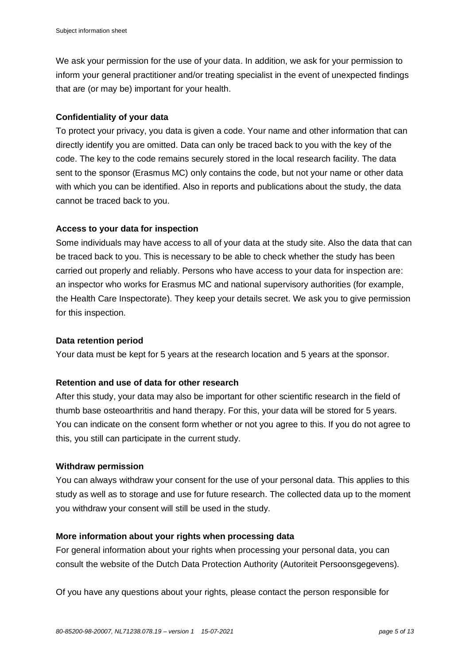We ask your permission for the use of your data. In addition, we ask for your permission to inform your general practitioner and/or treating specialist in the event of unexpected findings that are (or may be) important for your health.

## **Confidentiality of your data**

To protect your privacy, you data is given a code. Your name and other information that can directly identify you are omitted. Data can only be traced back to you with the key of the code. The key to the code remains securely stored in the local research facility. The data sent to the sponsor (Erasmus MC) only contains the code, but not your name or other data with which you can be identified. Also in reports and publications about the study, the data cannot be traced back to you.

## **Access to your data for inspection**

Some individuals may have access to all of your data at the study site. Also the data that can be traced back to you. This is necessary to be able to check whether the study has been carried out properly and reliably. Persons who have access to your data for inspection are: an inspector who works for Erasmus MC and national supervisory authorities (for example, the Health Care Inspectorate). They keep your details secret. We ask you to give permission for this inspection.

#### **Data retention period**

Your data must be kept for 5 years at the research location and 5 years at the sponsor.

#### **Retention and use of data for other research**

After this study, your data may also be important for other scientific research in the field of thumb base osteoarthritis and hand therapy. For this, your data will be stored for 5 years. You can indicate on the consent form whether or not you agree to this. If you do not agree to this, you still can participate in the current study.

#### **Withdraw permission**

You can always withdraw your consent for the use of your personal data. This applies to this study as well as to storage and use for future research. The collected data up to the moment you withdraw your consent will still be used in the study.

#### **More information about your rights when processing data**

For general information about your rights when processing your personal data, you can consult the website of the Dutch Data Protection Authority (Autoriteit Persoonsgegevens).

Of you have any questions about your rights, please contact the person responsible for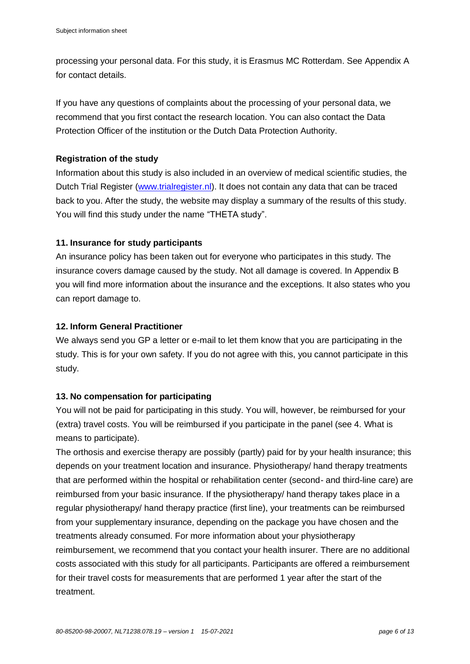processing your personal data. For this study, it is Erasmus MC Rotterdam. See Appendix A for contact details.

If you have any questions of complaints about the processing of your personal data, we recommend that you first contact the research location. You can also contact the Data Protection Officer of the institution or the Dutch Data Protection Authority.

## **Registration of the study**

Information about this study is also included in an overview of medical scientific studies, the Dutch Trial Register [\(www.trialregister.nl\)](http://www.trialregister.nl/). It does not contain any data that can be traced back to you. After the study, the website may display a summary of the results of this study. You will find this study under the name "THETA study".

## **11. Insurance for study participants**

An insurance policy has been taken out for everyone who participates in this study. The insurance covers damage caused by the study. Not all damage is covered. In Appendix B you will find more information about the insurance and the exceptions. It also states who you can report damage to.

## **12. Inform General Practitioner**

We always send you GP a letter or e-mail to let them know that you are participating in the study. This is for your own safety. If you do not agree with this, you cannot participate in this study.

# **13. No compensation for participating**

You will not be paid for participating in this study. You will, however, be reimbursed for your (extra) travel costs. You will be reimbursed if you participate in the panel (see 4. What is means to participate).

The orthosis and exercise therapy are possibly (partly) paid for by your health insurance; this depends on your treatment location and insurance. Physiotherapy/ hand therapy treatments that are performed within the hospital or rehabilitation center (second- and third-line care) are reimbursed from your basic insurance. If the physiotherapy/ hand therapy takes place in a regular physiotherapy/ hand therapy practice (first line), your treatments can be reimbursed from your supplementary insurance, depending on the package you have chosen and the treatments already consumed. For more information about your physiotherapy reimbursement, we recommend that you contact your health insurer. There are no additional costs associated with this study for all participants. Participants are offered a reimbursement for their travel costs for measurements that are performed 1 year after the start of the treatment.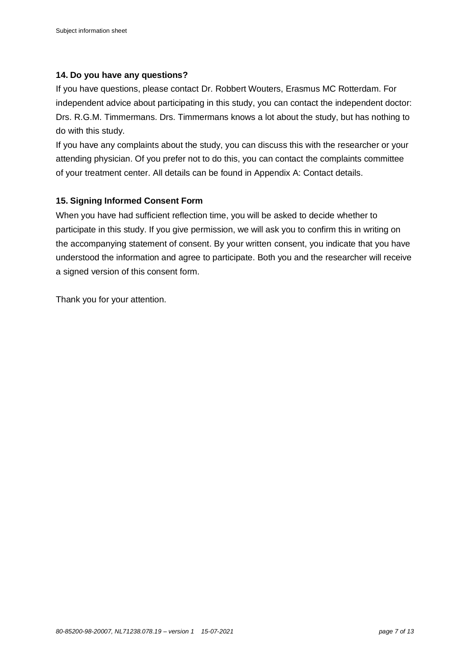## **14. Do you have any questions?**

If you have questions, please contact Dr. Robbert Wouters, Erasmus MC Rotterdam. For independent advice about participating in this study, you can contact the independent doctor: Drs. R.G.M. Timmermans. Drs. Timmermans knows a lot about the study, but has nothing to do with this study.

If you have any complaints about the study, you can discuss this with the researcher or your attending physician. Of you prefer not to do this, you can contact the complaints committee of your treatment center. All details can be found in Appendix A: Contact details.

# **15. Signing Informed Consent Form**

When you have had sufficient reflection time, you will be asked to decide whether to participate in this study. If you give permission, we will ask you to confirm this in writing on the accompanying statement of consent. By your written consent, you indicate that you have understood the information and agree to participate. Both you and the researcher will receive a signed version of this consent form.

Thank you for your attention.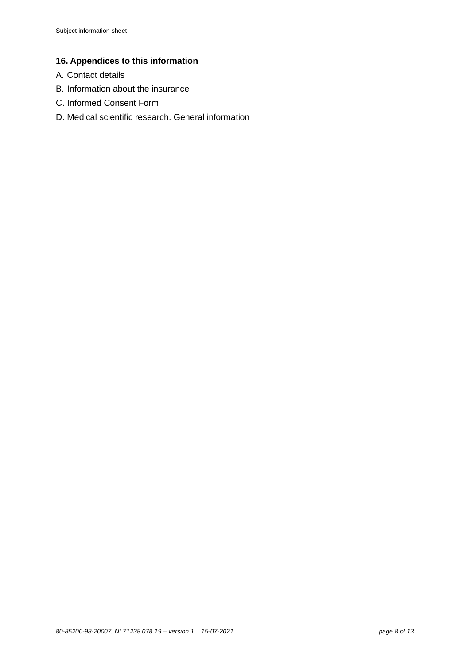# **16. Appendices to this information**

- A. Contact details
- B. Information about the insurance
- C. Informed Consent Form
- D. Medical scientific research. General information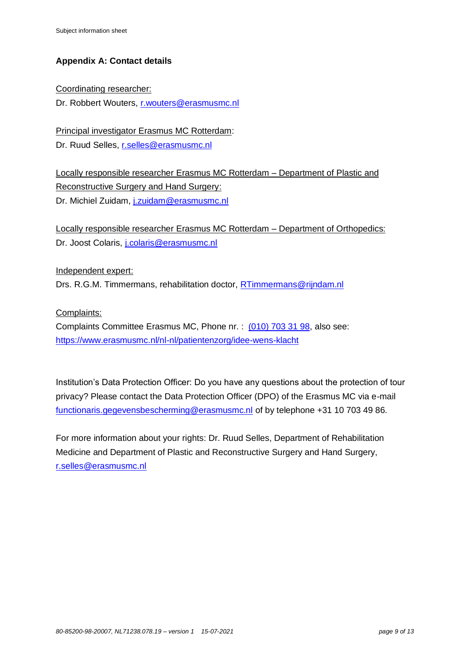# **Appendix A: Contact details**

Coordinating researcher: Dr. Robbert Wouters, [r.wouters@erasmusmc.nl](mailto:r.wouters@erasmusmc.nl)

Principal investigator Erasmus MC Rotterdam: Dr. Ruud Selles, [r.selles@erasmusmc.nl](mailto:r.selles@erasmusmc.nl)

Locally responsible researcher Erasmus MC Rotterdam – Department of Plastic and Reconstructive Surgery and Hand Surgery: Dr. Michiel Zuidam, [j.zuidam@erasmusmc.nl](mailto:j.zuidam@erasmusmc.nl)

Locally responsible researcher Erasmus MC Rotterdam – Department of Orthopedics: Dr. Joost Colaris, *j.colaris@erasmusmc.nl* 

Independent expert: Drs. R.G.M. Timmermans, rehabilitation doctor, [RTimmermans@rijndam.nl](mailto:RTimmermans@rijndam.nl)

#### Complaints:

Complaints Committee Erasmus MC, Phone nr. : [\(010\) 703 31 98,](about:blank) also see: <https://www.erasmusmc.nl/nl-nl/patientenzorg/idee-wens-klacht>

Institution's Data Protection Officer: Do you have any questions about the protection of tour privacy? Please contact the Data Protection Officer (DPO) of the Erasmus MC via e-mail [functionaris.gegevensbescherming@erasmusmc.nl](mailto:functionaris.gegevensbescherming@erasmusmc.nl) of by telephone +31 10 703 49 86.

For more information about your rights: Dr. Ruud Selles, Department of Rehabilitation Medicine and Department of Plastic and Reconstructive Surgery and Hand Surgery, [r.selles@erasmusmc.nl](mailto:r.selles@erasmusmc.nl)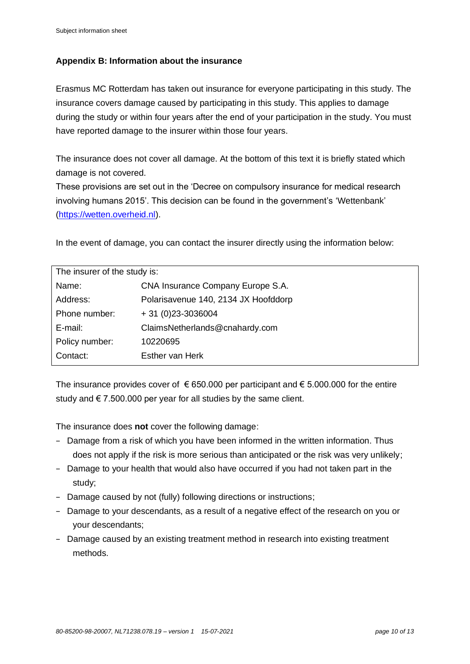## **Appendix B: Information about the insurance**

Erasmus MC Rotterdam has taken out insurance for everyone participating in this study. The insurance covers damage caused by participating in this study. This applies to damage during the study or within four years after the end of your participation in the study. You must have reported damage to the insurer within those four years.

The insurance does not cover all damage. At the bottom of this text it is briefly stated which damage is not covered.

These provisions are set out in the 'Decree on compulsory insurance for medical research involving humans 2015'. This decision can be found in the government's 'Wettenbank' [\(https://wetten.overheid.nl\)](https://wetten.overheid.nl/).

In the event of damage, you can contact the insurer directly using the information below:

| The insurer of the study is: |                                      |  |  |
|------------------------------|--------------------------------------|--|--|
| Name:                        | CNA Insurance Company Europe S.A.    |  |  |
| Address:                     | Polarisavenue 140, 2134 JX Hoofddorp |  |  |
| Phone number:                | $+31(0)23-3036004$                   |  |  |
| $E$ -mail:                   | ClaimsNetherlands@cnahardy.com       |  |  |
| Policy number:               | 10220695                             |  |  |
| Contact:                     | Esther van Herk                      |  |  |

The insurance provides cover of  $\epsilon$  650.000 per participant and  $\epsilon$  5.000.000 for the entire study and  $\epsilon$  7.500.000 per year for all studies by the same client.

The insurance does **not** cover the following damage:

- − Damage from a risk of which you have been informed in the written information. Thus does not apply if the risk is more serious than anticipated or the risk was very unlikely;
- − Damage to your health that would also have occurred if you had not taken part in the study;
- − Damage caused by not (fully) following directions or instructions;
- − Damage to your descendants, as a result of a negative effect of the research on you or your descendants;
- − Damage caused by an existing treatment method in research into existing treatment methods.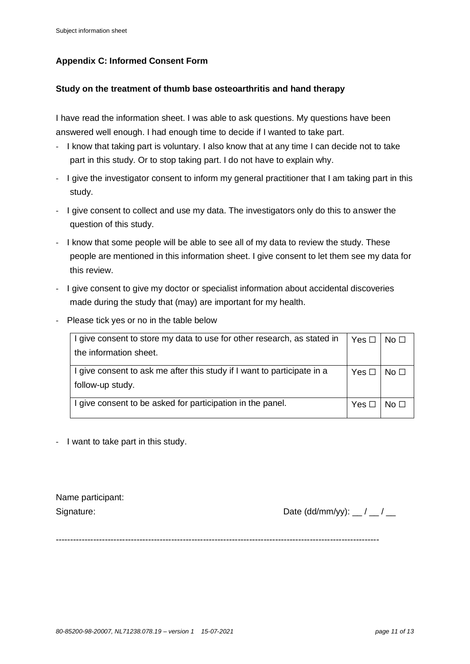# **Appendix C: Informed Consent Form**

#### **Study on the treatment of thumb base osteoarthritis and hand therapy**

I have read the information sheet. I was able to ask questions. My questions have been answered well enough. I had enough time to decide if I wanted to take part.

- I know that taking part is voluntary. I also know that at any time I can decide not to take part in this study. Or to stop taking part. I do not have to explain why.
- I give the investigator consent to inform my general practitioner that I am taking part in this study.
- I give consent to collect and use my data. The investigators only do this to answer the question of this study.
- I know that some people will be able to see all of my data to review the study. These people are mentioned in this information sheet. I give consent to let them see my data for this review.
- I give consent to give my doctor or specialist information about accidental discoveries made during the study that (may) are important for my health.
- Please tick yes or no in the table below

| I give consent to store my data to use for other research, as stated in |            | No $\square$ |
|-------------------------------------------------------------------------|------------|--------------|
| the information sheet.                                                  |            |              |
| I give consent to ask me after this study if I want to participate in a | Yes $\Box$ | No $\Box$    |
| follow-up study.                                                        |            |              |
| I give consent to be asked for participation in the panel.              | $Yes \Box$ | No $\Box$    |

- I want to take part in this study.

| Name participant: |
|-------------------|
| Signature:        |

Date (dd/mm/yy):  $\frac{\ }{\ }$  /  $\frac{\ }{\ }$ 

----------------------------------------------------------------------------------------------------------------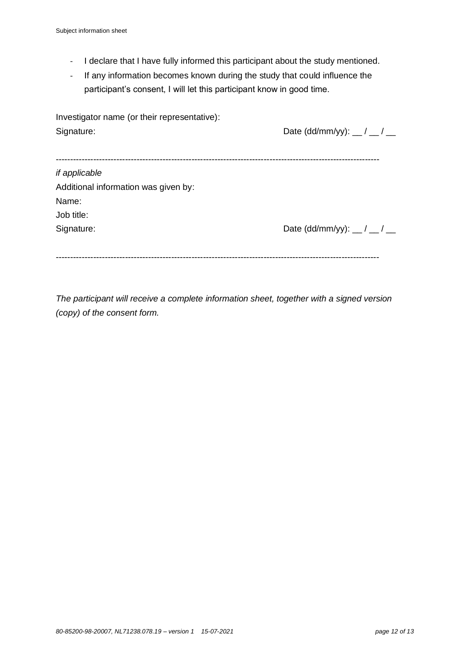- I declare that I have fully informed this participant about the study mentioned.
- If any information becomes known during the study that could influence the participant's consent, I will let this participant know in good time.

| Investigator name (or their representative): |                                                    |
|----------------------------------------------|----------------------------------------------------|
| Signature:                                   | Date (dd/mm/yy): $\frac{1}{2}$ / $\frac{1}{2}$     |
|                                              |                                                    |
|                                              |                                                    |
| if applicable                                |                                                    |
| Additional information was given by:         |                                                    |
| Name:                                        |                                                    |
| Job title:                                   |                                                    |
| Signature:                                   | Date (dd/mm/yy): $\frac{\ }{\ }$ / $\frac{\ }{\ }$ |
|                                              |                                                    |
|                                              |                                                    |

*The participant will receive a complete information sheet, together with a signed version (copy) of the consent form.*